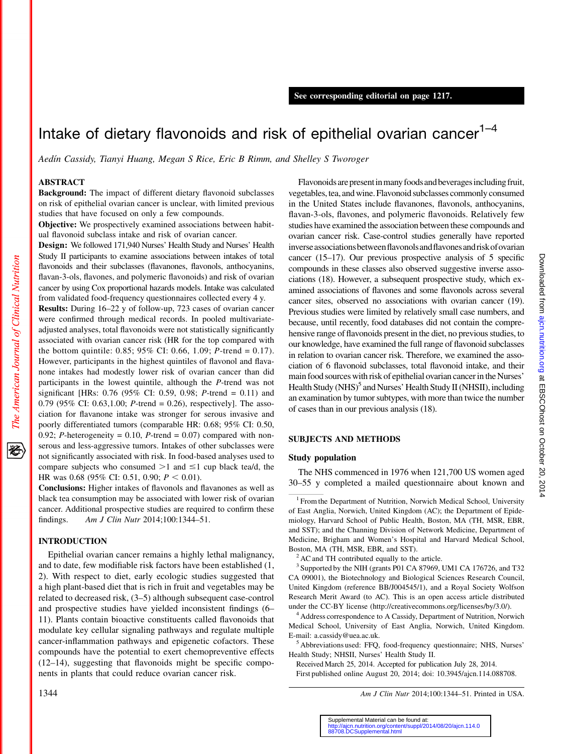# Intake of dietary flavonoids and risk of epithelial ovarian cancer $1-4$

Aedin Cassidy, Tianyi Huang, Megan S Rice, Eric B Rimm, and Shelley S Tworoger

#### ABSTRACT

Background: The impact of different dietary flavonoid subclasses on risk of epithelial ovarian cancer is unclear, with limited previous studies that have focused on only a few compounds.

Objective: We prospectively examined associations between habitual flavonoid subclass intake and risk of ovarian cancer.

Design: We followed 171,940 Nurses' Health Study and Nurses' Health Study II participants to examine associations between intakes of total flavonoids and their subclasses (flavanones, flavonols, anthocyanins, flavan-3-ols, flavones, and polymeric flavonoids) and risk of ovarian cancer by using Cox proportional hazards models. Intake was calculated from validated food-frequency questionnaires collected every 4 y.

Results: During 16–22 y of follow-up, 723 cases of ovarian cancer were confirmed through medical records. In pooled multivariateadjusted analyses, total flavonoids were not statistically significantly associated with ovarian cancer risk (HR for the top compared with the bottom quintile:  $0.85$ ;  $95\%$  CI:  $0.66$ ,  $1.09$ ; *P*-trend =  $0.17$ ). However, participants in the highest quintiles of flavonol and flavanone intakes had modestly lower risk of ovarian cancer than did participants in the lowest quintile, although the P-trend was not significant [HRs: 0.76 (95% CI: 0.59, 0.98; P-trend = 0.11) and 0.79 (95% CI: 0.63,1.00; *P*-trend = 0.26), respectively]. The association for flavanone intake was stronger for serous invasive and poorly differentiated tumors (comparable HR: 0.68; 95% CI: 0.50, 0.92; P-heterogeneity = 0.10, P-trend = 0.07) compared with nonserous and less-aggressive tumors. Intakes of other subclasses were not significantly associated with risk. In food-based analyses used to compare subjects who consumed  $>1$  and  $\leq 1$  cup black tea/d, the HR was 0.68 (95% CI: 0.51, 0.90;  $P < 0.01$ ).

Conclusions: Higher intakes of flavonols and flavanones as well as black tea consumption may be associated with lower risk of ovarian cancer. Additional prospective studies are required to confirm these findings. Am J Clin Nutr 2014;100:1344–51.

# INTRODUCTION

Epithelial ovarian cancer remains a highly lethal malignancy, and to date, few modifiable risk factors have been established (1, 2). With respect to diet, early ecologic studies suggested that a high plant-based diet that is rich in fruit and vegetables may be related to decreased risk, (3–5) although subsequent case-control and prospective studies have yielded inconsistent findings (6– 11). Plants contain bioactive constituents called flavonoids that modulate key cellular signaling pathways and regulate multiple cancer-inflammation pathways and epigenetic cofactors. These compounds have the potential to exert chemopreventive effects (12–14), suggesting that flavonoids might be specific components in plants that could reduce ovarian cancer risk.

Flavonoids are present in many foods and beverages including fruit, vegetables, tea, and wine. Flavonoid subclasses commonly consumed in the United States include flavanones, flavonols, anthocyanins, flavan-3-ols, flavones, and polymeric flavonoids. Relatively few studies have examined the association between these compounds and ovarian cancer risk. Case-control studies generally have reported inverse associations between flavonols and flavones and risk of ovarian cancer (15–17). Our previous prospective analysis of 5 specific compounds in these classes also observed suggestive inverse associations (18). However, a subsequent prospective study, which examined associations of flavones and some flavonols across several cancer sites, observed no associations with ovarian cancer (19). Previous studies were limited by relatively small case numbers, and because, until recently, food databases did not contain the comprehensive range of flavonoids present in the diet, no previous studies, to our knowledge, have examined the full range of flavonoid subclasses in relation to ovarian cancer risk. Therefore, we examined the association of 6 flavonoid subclasses, total flavonoid intake, and their main food sources with risk of epithelial ovarian cancerin the Nurses' Health Study (NHS)<sup>5</sup> and Nurses' Health Study II (NHSII), including an examination by tumor subtypes, with more than twice the number of cases than in our previous analysis (18).

# SUBJECTS AND METHODS

#### Study population

The NHS commenced in 1976 when 121,700 US women aged 30–55 y completed a mailed questionnaire about known and

 $3$  Supported by the NIH (grants P01 CA 87969, UM1 CA 176726, and T32 CA 09001), the Biotechnology and Biological Sciences Research Council, United Kingdom (reference BB/J004545/1), and a Royal Society Wolfson Research Merit Award (to AC). This is an open access article distributed under the CC-BY license (http://creativecommons.org/licenses/by/3.0/). <sup>4</sup> Address correspondence to A Cassidy, Department of Nutrition, Norwich

Medical School, University of East Anglia, Norwich, United Kingdom. E-mail: a.cassidy@uea.ac.uk.<br><sup>5</sup> Abbreviations used: FFQ, food-frequency questionnaire; NHS, Nurses'

Health Study; NHSII, Nurses' Health Study II.

Received March 25, 2014. Accepted for publication July 28, 2014. First published online August 20, 2014; doi: 10.3945/ajcn.114.088708.

1344 Am J Clin Nutr 2014;100:1344–51. Printed in USA.

逐

 $1$  From the Department of Nutrition, Norwich Medical School, University of East Anglia, Norwich, United Kingdom (AC); the Department of Epidemiology, Harvard School of Public Health, Boston, MA (TH, MSR, EBR, and SST); and the Channing Division of Network Medicine, Department of Medicine, Brigham and Women's Hospital and Harvard Medical School, Boston, MA (TH, MSR, EBR, and SST).<br> $2^2$ AC and TH contributed equally to the article.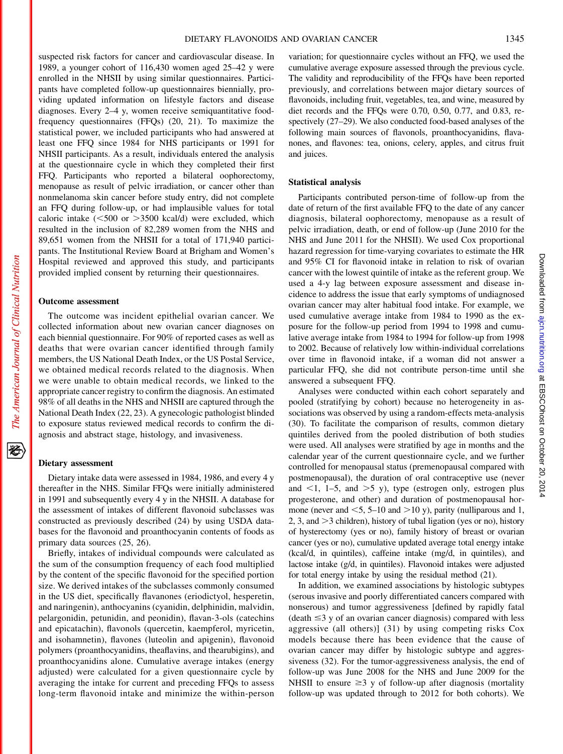Downloaded from ajon.nutrition.org at EBSCOhost on October 20, 2014 Downloaded from ajcn.nutrition.org at EBSCOhost on October 20, 2014

suspected risk factors for cancer and cardiovascular disease. In 1989, a younger cohort of 116,430 women aged 25–42 y were enrolled in the NHSII by using similar questionnaires. Participants have completed follow-up questionnaires biennially, providing updated information on lifestyle factors and disease diagnoses. Every 2–4 y, women receive semiquantitative foodfrequency questionnaires (FFQs) (20, 21). To maximize the statistical power, we included participants who had answered at least one FFQ since 1984 for NHS participants or 1991 for NHSII participants. As a result, individuals entered the analysis at the questionnaire cycle in which they completed their first FFQ. Participants who reported a bilateral oophorectomy, menopause as result of pelvic irradiation, or cancer other than nonmelanoma skin cancer before study entry, did not complete an FFQ during follow-up, or had implausible values for total caloric intake  $(<500$  or  $>3500$  kcal/d) were excluded, which resulted in the inclusion of 82,289 women from the NHS and 89,651 women from the NHSII for a total of 171,940 participants. The Institutional Review Board at Brigham and Women's Hospital reviewed and approved this study, and participants provided implied consent by returning their questionnaires.

# Outcome assessment

The outcome was incident epithelial ovarian cancer. We collected information about new ovarian cancer diagnoses on each biennial questionnaire. For 90% of reported cases as well as deaths that were ovarian cancer identified through family members, the US National Death Index, or the US Postal Service, we obtained medical records related to the diagnosis. When we were unable to obtain medical records, we linked to the appropriate cancer registry to confirm the diagnosis. An estimated 98% of all deaths in the NHS and NHSII are captured through the National Death Index (22, 23). A gynecologic pathologist blinded to exposure status reviewed medical records to confirm the diagnosis and abstract stage, histology, and invasiveness.

# Dietary assessment

Dietary intake data were assessed in 1984, 1986, and every 4 y thereafter in the NHS. Similar FFQs were initially administered in 1991 and subsequently every 4 y in the NHSII. A database for the assessment of intakes of different flavonoid subclasses was constructed as previously described (24) by using USDA databases for the flavonoid and proanthocyanin contents of foods as primary data sources (25, 26).

Briefly, intakes of individual compounds were calculated as the sum of the consumption frequency of each food multiplied by the content of the specific flavonoid for the specified portion size. We derived intakes of the subclasses commonly consumed in the US diet, specifically flavanones (eriodictyol, hesperetin, and naringenin), anthocyanins (cyanidin, delphinidin, malvidin, pelargonidin, petunidin, and peonidin), flavan-3-ols (catechins and epicatachin), flavonols (quercetin, kaempferol, myricetin, and isohamnetin), flavones (luteolin and apigenin), flavonoid polymers (proanthocyanidins, theaflavins, and thearubigins), and proanthocyanidins alone. Cumulative average intakes (energy adjusted) were calculated for a given questionnaire cycle by averaging the intake for current and preceding FFQs to assess long-term flavonoid intake and minimize the within-person

variation; for questionnaire cycles without an FFQ, we used the cumulative average exposure assessed through the previous cycle. The validity and reproducibility of the FFQs have been reported previously, and correlations between major dietary sources of flavonoids, including fruit, vegetables, tea, and wine, measured by diet records and the FFQs were 0.70, 0.50, 0.77, and 0.83, respectively (27–29). We also conducted food-based analyses of the following main sources of flavonols, proanthocyanidins, flavanones, and flavones: tea, onions, celery, apples, and citrus fruit and juices.

# Statistical analysis

Participants contributed person-time of follow-up from the date of return of the first available FFQ to the date of any cancer diagnosis, bilateral oophorectomy, menopause as a result of pelvic irradiation, death, or end of follow-up (June 2010 for the NHS and June 2011 for the NHSII). We used Cox proportional hazard regression for time-varying covariates to estimate the HR and 95% CI for flavonoid intake in relation to risk of ovarian cancer with the lowest quintile of intake as the referent group. We used a 4-y lag between exposure assessment and disease incidence to address the issue that early symptoms of undiagnosed ovarian cancer may alter habitual food intake. For example, we used cumulative average intake from 1984 to 1990 as the exposure for the follow-up period from 1994 to 1998 and cumulative average intake from 1984 to 1994 for follow-up from 1998 to 2002. Because of relatively low within-individual correlations over time in flavonoid intake, if a woman did not answer a particular FFQ, she did not contribute person-time until she answered a subsequent FFQ.

Analyses were conducted within each cohort separately and pooled (stratifying by cohort) because no heterogeneity in associations was observed by using a random-effects meta-analysis (30). To facilitate the comparison of results, common dietary quintiles derived from the pooled distribution of both studies were used. All analyses were stratified by age in months and the calendar year of the current questionnaire cycle, and we further controlled for menopausal status (premenopausal compared with postmenopausal), the duration of oral contraceptive use (never and  $\leq$ 1, 1–5, and  $\geq$ 5 y), type (estrogen only, estrogen plus progesterone, and other) and duration of postmenopausal hormone (never and  $\leq 5$ , 5–10 and  $>$ 10 y), parity (nulliparous and 1, 2, 3, and  $>$ 3 children), history of tubal ligation (yes or no), history of hysterectomy (yes or no), family history of breast or ovarian cancer (yes or no), cumulative updated average total energy intake (kcal/d, in quintiles), caffeine intake (mg/d, in quintiles), and lactose intake (g/d, in quintiles). Flavonoid intakes were adjusted for total energy intake by using the residual method (21).

In addition, we examined associations by histologic subtypes (serous invasive and poorly differentiated cancers compared with nonserous) and tumor aggressiveness [defined by rapidly fatal  $(death \leq 3$  y of an ovarian cancer diagnosis) compared with less aggressive (all others)] (31) by using competing risks Cox models because there has been evidence that the cause of ovarian cancer may differ by histologic subtype and aggressiveness (32). For the tumor-aggressiveness analysis, the end of follow-up was June 2008 for the NHS and June 2009 for the NHSII to ensure  $\geq$ 3 y of follow-up after diagnosis (mortality follow-up was updated through to 2012 for both cohorts). We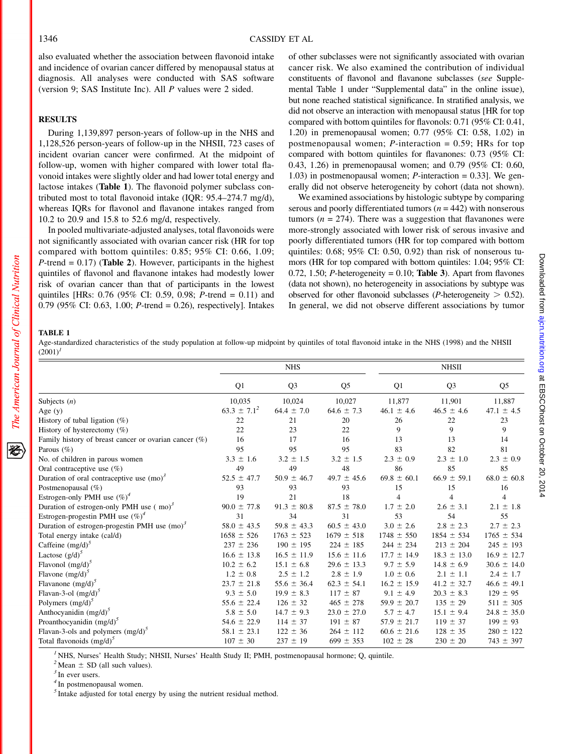also evaluated whether the association between flavonoid intake and incidence of ovarian cancer differed by menopausal status at diagnosis. All analyses were conducted with SAS software (version 9; SAS Institute Inc). All P values were 2 sided.

# RESULTS

During 1,139,897 person-years of follow-up in the NHS and 1,128,526 person-years of follow-up in the NHSII, 723 cases of incident ovarian cancer were confirmed. At the midpoint of follow-up, women with higher compared with lower total flavonoid intakes were slightly older and had lower total energy and lactose intakes (Table 1). The flavonoid polymer subclass contributed most to total flavonoid intake (IQR: 95.4–274.7 mg/d), whereas IQRs for flavonol and flavanone intakes ranged from 10.2 to 20.9 and 15.8 to 52.6 mg/d, respectively.

In pooled multivariate-adjusted analyses, total flavonoids were not significantly associated with ovarian cancer risk (HR for top compared with bottom quintiles: 0.85; 95% CI: 0.66, 1.09;  $P$ -trend = 0.17) (Table 2). However, participants in the highest quintiles of flavonol and flavanone intakes had modestly lower risk of ovarian cancer than that of participants in the lowest quintiles [HRs: 0.76 (95% CI: 0.59, 0.98; P-trend = 0.11) and 0.79 (95% CI: 0.63, 1.00; P-trend = 0.26), respectively]. Intakes

of other subclasses were not significantly associated with ovarian cancer risk. We also examined the contribution of individual constituents of flavonol and flavanone subclasses (see Supplemental Table 1 under "Supplemental data" in the online issue), but none reached statistical significance. In stratified analysis, we did not observe an interaction with menopausal status [HR for top compared with bottom quintiles for flavonols: 0.71 (95% CI: 0.41, 1.20) in premenopausal women; 0.77 (95% CI: 0.58, 1.02) in postmenopausal women;  $P$ -interaction = 0.59; HRs for top compared with bottom quintiles for flavanones: 0.73 (95% CI: 0.43, 1.26) in premenopausal women; and 0.79 (95% CI: 0.60, 1.03) in postmenopausal women;  $P$ -interaction = 0.33]. We generally did not observe heterogeneity by cohort (data not shown).

We examined associations by histologic subtype by comparing serous and poorly differentiated tumors ( $n = 442$ ) with nonserous tumors ( $n = 274$ ). There was a suggestion that flavanones were more-strongly associated with lower risk of serous invasive and poorly differentiated tumors (HR for top compared with bottom quintiles: 0.68; 95% CI: 0.50, 0.92) than risk of nonserous tumors (HR for top compared with bottom quintiles: 1.04; 95% CI: 0.72, 1.50; P-heterogeneity = 0.10; Table 3). Apart from flavones (data not shown), no heterogeneity in associations by subtype was observed for other flavonoid subclasses (*P*-heterogeneity  $> 0.52$ ). In general, we did not observe different associations by tumor

#### TABLE 1

The American Journal of Clinical Nutrition

Age-standardized characteristics of the study population at follow-up midpoint by quintiles of total flavonoid intake in the NHS (1998) and the NHSII  $(2001)^{1}$ 

|                                                          |                  | <b>NHS</b>      |                 |                 | <b>NHSII</b>    |                 |
|----------------------------------------------------------|------------------|-----------------|-----------------|-----------------|-----------------|-----------------|
|                                                          | Q1               | Q <sub>3</sub>  | Q <sub>5</sub>  | Q1              | Q <sub>3</sub>  | Q <sub>5</sub>  |
| Subjects $(n)$                                           | 10,035           | 10,024          | 10,027          | 11,877          | 11,901          | 11,887          |
| Age $(y)$                                                | $63.3 \pm 7.1^2$ | $64.4 \pm 7.0$  | $64.6 \pm 7.3$  | $46.1 \pm 4.6$  | $46.5 \pm 4.6$  | $47.1 \pm 4.5$  |
| History of tubal ligation $(\%)$                         | 22               | 21              | 20              | 26              | 22              | 23              |
| History of hysterectomy $(\%)$                           | 22               | 23              | 22              | 9               | 9               | $\mathbf Q$     |
| Family history of breast cancer or ovarian cancer $(\%)$ | 16               | 17              | 16              | 13              | 13              | 14              |
| Parous $(\% )$                                           | 95               | 95              | 95              | 83              | 82              | 81              |
| No. of children in parous women                          | $3.3 \pm 1.6$    | $3.2 \pm 1.5$   | $3.2 \pm 1.5$   | $2.3 \pm 0.9$   | $2.3 \pm 1.0$   | $2.3 \pm 0.9$   |
| Oral contraceptive use $(\%)$                            | 49               | 49              | 48              | 86              | 85              | 85              |
| Duration of oral contraceptive use $(mo)^3$              | $52.5 \pm 47.7$  | $50.9 \pm 46.7$ | $49.7 \pm 45.6$ | $69.8 \pm 60.1$ | $66.9 \pm 59.1$ | $68.0 \pm 60.8$ |
| Postmenopausal $(\%)$                                    | 93               | 93              | 93              | 15              | 15              | 16              |
| Estrogen-only PMH use $(\%)^4$                           | 19               | 21              | 18              | 4               | 4               | $\overline{4}$  |
| Duration of estrogen-only PMH use $(mo)^3$               | $90.0 \pm 77.8$  | $91.3 \pm 80.8$ | $87.5 \pm 78.0$ | $1.7 \pm 2.0$   | $2.6 \pm 3.1$   | $2.1 \pm 1.8$   |
| Estrogen-progestin PMH use $(\%)^4$                      | 31               | 34              | 31              | 53              | 54              | 55              |
| Duration of estrogen-progestin PMH use $(mo)^3$          | $58.0 \pm 43.5$  | $59.8 \pm 43.3$ | $60.5 \pm 43.0$ | $3.0 \pm 2.6$   | $2.8 \pm 2.3$   | $2.7 \pm 2.3$   |
| Total energy intake (cal/d)                              | $1658 \pm 526$   | $1763 \pm 523$  | $1679 \pm 518$  | $1748 \pm 550$  | $1854 \pm 534$  | $1765 \pm 534$  |
| Caffeine $(mg/d)^3$                                      | $237 \pm 236$    | $190 \pm 195$   | $224 \pm 185$   | $244 \pm 234$   | $213 \pm 204$   | $245 \pm 193$   |
| Lactose $(g/d)^5$                                        | $16.6 \pm 13.8$  | $16.5 \pm 11.9$ | $15.6 \pm 11.6$ | $17.7 \pm 14.9$ | $18.3 \pm 13.0$ | $16.9 \pm 12.7$ |
| Flavonol $(mg/d)^3$                                      | $10.2 \pm 6.2$   | $15.1 \pm 6.8$  | $29.6 \pm 13.3$ | $9.7 \pm 5.9$   | $14.8 \pm 6.9$  | $30.6 \pm 14.0$ |
| Flavone $(mg/d)^3$                                       | $1.2 \pm 0.8$    | $2.5 \pm 1.2$   | $2.8 \pm 1.9$   | $1.0 \pm 0.6$   | $2.1 \pm 1.1$   | $2.4 \pm 1.7$   |
| Flavanone $(mg/d)^3$                                     | $23.7 \pm 21.8$  | $55.6 \pm 36.4$ | $62.3 \pm 54.1$ | $16.2 \pm 15.9$ | $41.2 \pm 32.7$ | $46.6 \pm 49.1$ |
| Flavan-3-ol $(mg/d)^3$                                   | $9.3 \pm 5.0$    | $19.9 \pm 8.3$  | $117 \pm 87$    | $9.1 \pm 4.9$   | $20.3 \pm 8.3$  | $129 \pm 95$    |
| Polymers $(mg/d)^3$                                      | $55.6 \pm 22.4$  | $126 \pm 32$    | $465 \pm 278$   | $59.9 \pm 20.7$ | $135 \pm 29$    | $511 \pm 305$   |
| Anthocyanidin $(mg/d)^5$                                 | $5.8 \pm 5.0$    | $14.7 \pm 9.3$  | $23.0 \pm 27.0$ | $5.7 \pm 4.7$   | $15.1 \pm 9.4$  | $24.8 \pm 35.0$ |
| Proanthocyanidin $(mg/d)^3$                              | $54.6 \pm 22.9$  | $114 \pm 37$    | $191 \pm 87$    | $57.9 \pm 21.7$ | $119 \pm 37$    | $199 \pm 93$    |
| Flavan-3-ols and polymers $(mg/d)^3$                     | $58.1 \pm 23.1$  | $122 \pm 36$    | $264 \pm 112$   | $60.6 \pm 21.6$ | $128 \pm 35$    | $280 \pm 122$   |
| Total flavonoids $(mg/d)^3$                              | $107 \pm 30$     | $237 \pm 19$    | $699 \pm 353$   | $102 \pm 28$    | $230 \pm 20$    | $743 \pm 397$   |

<sup>1</sup> NHS, Nurses' Health Study; NHSII, Nurses' Health Study II; PMH, postmenopausal hormone; Q, quintile.

 $^{2}$ Mean  $\pm$  SD (all such values).  $^{3}$  In ever users.

<sup>4</sup> In postmenopausal women.

 $<sup>5</sup>$  Intake adjusted for total energy by using the nutrient residual method.</sup>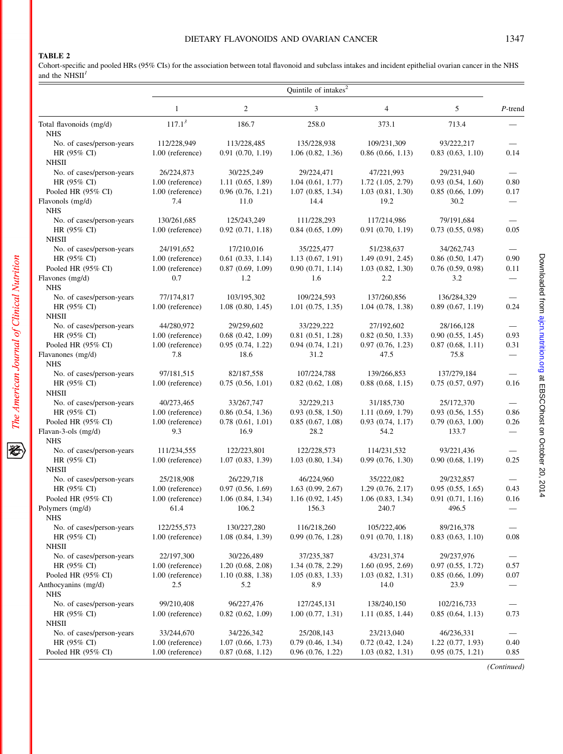# DIETARY FLAVONOIDS AND OVARIAN CANCER 1347

# TABLE 2

Cohort-specific and pooled HRs (95% CIs) for the association between total flavonoid and subclass intakes and incident epithelial ovarian cancer in the NHS<br>and the NHSII<sup>1</sup>

| 2<br>3<br>$\mathbf{1}$<br>$\overline{4}$<br>5<br>$117.1^3$<br>186.7<br>258.0<br>373.1<br>713.4<br>Total flavonoids (mg/d)<br><b>NHS</b><br>112/228,949<br>135/228,938<br>109/231,309<br>93/222,217<br>No. of cases/person-years<br>113/228,485<br>HR (95% CI)<br>1.00 (reference)<br>0.91(0.70, 1.19)<br>1.06(0.82, 1.36)<br>0.86(0.66, 1.13)<br>0.83(0.63, 1.10)<br><b>NHSII</b><br>29/224,471<br>No. of cases/person-years<br>26/224,873<br>30/225,249<br>47/221,993<br>29/231,940<br>HR (95% CI)<br>1.00 (reference)<br>1.11(0.65, 1.89)<br>1.04(0.61, 1.77)<br>$1.72$ $(1.05, 2.79)$<br>0.93(0.54, 1.60)<br>0.96(0.76, 1.21)<br>Pooled HR (95% CI)<br>1.00 (reference)<br>1.07(0.85, 1.34)<br>1.03(0.81, 1.30)<br>0.85(0.66, 1.09)<br>Flavonols (mg/d)<br>7.4<br>11.0<br>14.4<br>19.2<br>30.2<br><b>NHS</b><br>79/191,684<br>130/261,685<br>125/243,249<br>111/228,293<br>117/214,986<br>No. of cases/person-years<br>HR (95% CI)<br>0.84(0.65, 1.09)<br>0.91(0.70, 1.19)<br>1.00 (reference)<br>0.92(0.71, 1.18)<br>0.73(0.55, 0.98)<br>NHSII<br>No. of cases/person-years<br>24/191,652<br>17/210,016<br>35/225,477<br>51/238,637<br>34/262,743<br>HR (95% CI)<br>0.61(0.33, 1.14)<br>1.13(0.67, 1.91)<br>1.49(0.91, 2.45)<br>1.00 (reference)<br>0.86(0.50, 1.47)<br>Pooled HR (95% CI)<br>$1.00$ (reference)<br>0.87(0.69, 1.09)<br>0.90(0.71, 1.14)<br>0.76(0.59, 0.98)<br>1.03(0.82, 1.30)<br>1.2<br>2.2<br>Flavones (mg/d)<br>0.7<br>1.6<br>3.2<br><b>NHS</b><br>No. of cases/person-years<br>77/174,817<br>103/195,302<br>109/224,593<br>137/260,856<br>136/284,329<br>HR (95% CI)<br>1.00 (reference)<br>1.08(0.80, 1.45)<br>$1.01$ $(0.75, 1.35)$<br>1.04(0.78, 1.38)<br>0.89(0.67, 1.19) |            |
|---------------------------------------------------------------------------------------------------------------------------------------------------------------------------------------------------------------------------------------------------------------------------------------------------------------------------------------------------------------------------------------------------------------------------------------------------------------------------------------------------------------------------------------------------------------------------------------------------------------------------------------------------------------------------------------------------------------------------------------------------------------------------------------------------------------------------------------------------------------------------------------------------------------------------------------------------------------------------------------------------------------------------------------------------------------------------------------------------------------------------------------------------------------------------------------------------------------------------------------------------------------------------------------------------------------------------------------------------------------------------------------------------------------------------------------------------------------------------------------------------------------------------------------------------------------------------------------------------------------------------------------------------------------------------------------------------------|------------|
|                                                                                                                                                                                                                                                                                                                                                                                                                                                                                                                                                                                                                                                                                                                                                                                                                                                                                                                                                                                                                                                                                                                                                                                                                                                                                                                                                                                                                                                                                                                                                                                                                                                                                                         | $P$ -trend |
|                                                                                                                                                                                                                                                                                                                                                                                                                                                                                                                                                                                                                                                                                                                                                                                                                                                                                                                                                                                                                                                                                                                                                                                                                                                                                                                                                                                                                                                                                                                                                                                                                                                                                                         |            |
|                                                                                                                                                                                                                                                                                                                                                                                                                                                                                                                                                                                                                                                                                                                                                                                                                                                                                                                                                                                                                                                                                                                                                                                                                                                                                                                                                                                                                                                                                                                                                                                                                                                                                                         |            |
|                                                                                                                                                                                                                                                                                                                                                                                                                                                                                                                                                                                                                                                                                                                                                                                                                                                                                                                                                                                                                                                                                                                                                                                                                                                                                                                                                                                                                                                                                                                                                                                                                                                                                                         | 0.14       |
|                                                                                                                                                                                                                                                                                                                                                                                                                                                                                                                                                                                                                                                                                                                                                                                                                                                                                                                                                                                                                                                                                                                                                                                                                                                                                                                                                                                                                                                                                                                                                                                                                                                                                                         |            |
|                                                                                                                                                                                                                                                                                                                                                                                                                                                                                                                                                                                                                                                                                                                                                                                                                                                                                                                                                                                                                                                                                                                                                                                                                                                                                                                                                                                                                                                                                                                                                                                                                                                                                                         |            |
|                                                                                                                                                                                                                                                                                                                                                                                                                                                                                                                                                                                                                                                                                                                                                                                                                                                                                                                                                                                                                                                                                                                                                                                                                                                                                                                                                                                                                                                                                                                                                                                                                                                                                                         | 0.80       |
|                                                                                                                                                                                                                                                                                                                                                                                                                                                                                                                                                                                                                                                                                                                                                                                                                                                                                                                                                                                                                                                                                                                                                                                                                                                                                                                                                                                                                                                                                                                                                                                                                                                                                                         | 0.17       |
|                                                                                                                                                                                                                                                                                                                                                                                                                                                                                                                                                                                                                                                                                                                                                                                                                                                                                                                                                                                                                                                                                                                                                                                                                                                                                                                                                                                                                                                                                                                                                                                                                                                                                                         |            |
|                                                                                                                                                                                                                                                                                                                                                                                                                                                                                                                                                                                                                                                                                                                                                                                                                                                                                                                                                                                                                                                                                                                                                                                                                                                                                                                                                                                                                                                                                                                                                                                                                                                                                                         |            |
|                                                                                                                                                                                                                                                                                                                                                                                                                                                                                                                                                                                                                                                                                                                                                                                                                                                                                                                                                                                                                                                                                                                                                                                                                                                                                                                                                                                                                                                                                                                                                                                                                                                                                                         |            |
|                                                                                                                                                                                                                                                                                                                                                                                                                                                                                                                                                                                                                                                                                                                                                                                                                                                                                                                                                                                                                                                                                                                                                                                                                                                                                                                                                                                                                                                                                                                                                                                                                                                                                                         | 0.05       |
|                                                                                                                                                                                                                                                                                                                                                                                                                                                                                                                                                                                                                                                                                                                                                                                                                                                                                                                                                                                                                                                                                                                                                                                                                                                                                                                                                                                                                                                                                                                                                                                                                                                                                                         |            |
|                                                                                                                                                                                                                                                                                                                                                                                                                                                                                                                                                                                                                                                                                                                                                                                                                                                                                                                                                                                                                                                                                                                                                                                                                                                                                                                                                                                                                                                                                                                                                                                                                                                                                                         |            |
|                                                                                                                                                                                                                                                                                                                                                                                                                                                                                                                                                                                                                                                                                                                                                                                                                                                                                                                                                                                                                                                                                                                                                                                                                                                                                                                                                                                                                                                                                                                                                                                                                                                                                                         | 0.90       |
|                                                                                                                                                                                                                                                                                                                                                                                                                                                                                                                                                                                                                                                                                                                                                                                                                                                                                                                                                                                                                                                                                                                                                                                                                                                                                                                                                                                                                                                                                                                                                                                                                                                                                                         | 0.11       |
|                                                                                                                                                                                                                                                                                                                                                                                                                                                                                                                                                                                                                                                                                                                                                                                                                                                                                                                                                                                                                                                                                                                                                                                                                                                                                                                                                                                                                                                                                                                                                                                                                                                                                                         |            |
|                                                                                                                                                                                                                                                                                                                                                                                                                                                                                                                                                                                                                                                                                                                                                                                                                                                                                                                                                                                                                                                                                                                                                                                                                                                                                                                                                                                                                                                                                                                                                                                                                                                                                                         |            |
|                                                                                                                                                                                                                                                                                                                                                                                                                                                                                                                                                                                                                                                                                                                                                                                                                                                                                                                                                                                                                                                                                                                                                                                                                                                                                                                                                                                                                                                                                                                                                                                                                                                                                                         |            |
|                                                                                                                                                                                                                                                                                                                                                                                                                                                                                                                                                                                                                                                                                                                                                                                                                                                                                                                                                                                                                                                                                                                                                                                                                                                                                                                                                                                                                                                                                                                                                                                                                                                                                                         | 0.24       |
| NHSII                                                                                                                                                                                                                                                                                                                                                                                                                                                                                                                                                                                                                                                                                                                                                                                                                                                                                                                                                                                                                                                                                                                                                                                                                                                                                                                                                                                                                                                                                                                                                                                                                                                                                                   |            |
| No. of cases/person-years<br>44/280,972<br>29/259,602<br>33/229,222<br>27/192,602<br>28/166,128                                                                                                                                                                                                                                                                                                                                                                                                                                                                                                                                                                                                                                                                                                                                                                                                                                                                                                                                                                                                                                                                                                                                                                                                                                                                                                                                                                                                                                                                                                                                                                                                         |            |
| HR (95% CI)<br>1.00 (reference)<br>$0.68$ $(0.42, 1.09)$<br>0.81(0.51, 1.28)<br>0.82(0.50, 1.33)<br>0.90(0.55, 1.45)                                                                                                                                                                                                                                                                                                                                                                                                                                                                                                                                                                                                                                                                                                                                                                                                                                                                                                                                                                                                                                                                                                                                                                                                                                                                                                                                                                                                                                                                                                                                                                                    | 0.93       |
| 1.00 (reference)<br>0.95(0.74, 1.22)<br>Pooled HR (95% CI)<br>0.94(0.74, 1.21)<br>0.97(0.76, 1.23)<br>0.87(0.68, 1.11)                                                                                                                                                                                                                                                                                                                                                                                                                                                                                                                                                                                                                                                                                                                                                                                                                                                                                                                                                                                                                                                                                                                                                                                                                                                                                                                                                                                                                                                                                                                                                                                  | 0.31       |
| 7.8<br>18.6<br>31.2<br>Flavanones (mg/d)<br>47.5<br>75.8<br><b>NHS</b>                                                                                                                                                                                                                                                                                                                                                                                                                                                                                                                                                                                                                                                                                                                                                                                                                                                                                                                                                                                                                                                                                                                                                                                                                                                                                                                                                                                                                                                                                                                                                                                                                                  |            |
| No. of cases/person-years<br>97/181,515<br>82/187,558<br>107/224,788<br>139/266,853<br>137/279,184                                                                                                                                                                                                                                                                                                                                                                                                                                                                                                                                                                                                                                                                                                                                                                                                                                                                                                                                                                                                                                                                                                                                                                                                                                                                                                                                                                                                                                                                                                                                                                                                      |            |
| HR (95% CI)<br>1.00 (reference)<br>0.75(0.56, 1.01)<br>0.82(0.62, 1.08)<br>0.88(0.68, 1.15)<br>0.75(0.57, 0.97)                                                                                                                                                                                                                                                                                                                                                                                                                                                                                                                                                                                                                                                                                                                                                                                                                                                                                                                                                                                                                                                                                                                                                                                                                                                                                                                                                                                                                                                                                                                                                                                         | 0.16       |
| NHSII                                                                                                                                                                                                                                                                                                                                                                                                                                                                                                                                                                                                                                                                                                                                                                                                                                                                                                                                                                                                                                                                                                                                                                                                                                                                                                                                                                                                                                                                                                                                                                                                                                                                                                   |            |
| No. of cases/person-years<br>40/273,465<br>33/267,747<br>32/229,213<br>31/185,730<br>25/172,370                                                                                                                                                                                                                                                                                                                                                                                                                                                                                                                                                                                                                                                                                                                                                                                                                                                                                                                                                                                                                                                                                                                                                                                                                                                                                                                                                                                                                                                                                                                                                                                                         |            |
| HR (95% CI)<br>1.00 (reference)<br>0.86(0.54, 1.36)<br>0.93(0.58, 1.50)<br>1.11(0.69, 1.79)<br>0.93(0.56, 1.55)                                                                                                                                                                                                                                                                                                                                                                                                                                                                                                                                                                                                                                                                                                                                                                                                                                                                                                                                                                                                                                                                                                                                                                                                                                                                                                                                                                                                                                                                                                                                                                                         | 0.86       |
| Pooled HR (95% CI)<br>1.00 (reference)<br>0.78(0.61, 1.01)<br>0.85(0.67, 1.08)<br>0.93(0.74, 1.17)<br>0.79(0.63, 1.00)                                                                                                                                                                                                                                                                                                                                                                                                                                                                                                                                                                                                                                                                                                                                                                                                                                                                                                                                                                                                                                                                                                                                                                                                                                                                                                                                                                                                                                                                                                                                                                                  | 0.26       |
| 9.3<br>16.9<br>54.2<br>Flavan-3-ols (mg/d)<br>28.2<br>133.7<br><b>NHS</b>                                                                                                                                                                                                                                                                                                                                                                                                                                                                                                                                                                                                                                                                                                                                                                                                                                                                                                                                                                                                                                                                                                                                                                                                                                                                                                                                                                                                                                                                                                                                                                                                                               |            |
| No. of cases/person-years<br>111/234,555<br>122/223,801<br>122/228,573<br>114/231,532<br>93/221,436                                                                                                                                                                                                                                                                                                                                                                                                                                                                                                                                                                                                                                                                                                                                                                                                                                                                                                                                                                                                                                                                                                                                                                                                                                                                                                                                                                                                                                                                                                                                                                                                     |            |
| HR (95% CI)<br>1.00 (reference)<br>1.07(0.83, 1.39)<br>1.03(0.80, 1.34)<br>0.99(0.76, 1.30)<br>0.90(0.68, 1.19)<br><b>NHSII</b>                                                                                                                                                                                                                                                                                                                                                                                                                                                                                                                                                                                                                                                                                                                                                                                                                                                                                                                                                                                                                                                                                                                                                                                                                                                                                                                                                                                                                                                                                                                                                                         | 0.25       |
| No. of cases/person-years<br>25/218,908<br>26/229,718<br>46/224,960<br>35/222,082<br>29/232,857                                                                                                                                                                                                                                                                                                                                                                                                                                                                                                                                                                                                                                                                                                                                                                                                                                                                                                                                                                                                                                                                                                                                                                                                                                                                                                                                                                                                                                                                                                                                                                                                         |            |
| HR (95% CI)<br>1.00 (reference)<br>0.97(0.56, 1.69)<br>1.63(0.99, 2.67)<br>1.29(0.76, 2.17)<br>0.95(0.55, 1.65)                                                                                                                                                                                                                                                                                                                                                                                                                                                                                                                                                                                                                                                                                                                                                                                                                                                                                                                                                                                                                                                                                                                                                                                                                                                                                                                                                                                                                                                                                                                                                                                         | 0.43       |
| Pooled HR (95% CI)<br>1.16(0.92, 1.45)<br>0.91(0.71, 1.16)<br>1.00 (reference)<br>1.06(0.84, 1.34)<br>1.06(0.83, 1.34)                                                                                                                                                                                                                                                                                                                                                                                                                                                                                                                                                                                                                                                                                                                                                                                                                                                                                                                                                                                                                                                                                                                                                                                                                                                                                                                                                                                                                                                                                                                                                                                  | 0.16       |
| Polymers (mg/d)<br>61.4<br>106.2<br>156.3<br>240.7<br>496.5                                                                                                                                                                                                                                                                                                                                                                                                                                                                                                                                                                                                                                                                                                                                                                                                                                                                                                                                                                                                                                                                                                                                                                                                                                                                                                                                                                                                                                                                                                                                                                                                                                             |            |
| NHS                                                                                                                                                                                                                                                                                                                                                                                                                                                                                                                                                                                                                                                                                                                                                                                                                                                                                                                                                                                                                                                                                                                                                                                                                                                                                                                                                                                                                                                                                                                                                                                                                                                                                                     |            |
| 116/218,260<br>89/216,378<br>122/255,573<br>130/227,280<br>105/222,406<br>No. of cases/person-years                                                                                                                                                                                                                                                                                                                                                                                                                                                                                                                                                                                                                                                                                                                                                                                                                                                                                                                                                                                                                                                                                                                                                                                                                                                                                                                                                                                                                                                                                                                                                                                                     |            |
| 1.00 (reference)<br>$HR (95\% CI)$<br>1.08(0.84, 1.39)<br>0.99(0.76, 1.28)<br>0.91(0.70, 1.18)<br>0.83(0.63, 1.10)                                                                                                                                                                                                                                                                                                                                                                                                                                                                                                                                                                                                                                                                                                                                                                                                                                                                                                                                                                                                                                                                                                                                                                                                                                                                                                                                                                                                                                                                                                                                                                                      | 0.08       |
| NHSII                                                                                                                                                                                                                                                                                                                                                                                                                                                                                                                                                                                                                                                                                                                                                                                                                                                                                                                                                                                                                                                                                                                                                                                                                                                                                                                                                                                                                                                                                                                                                                                                                                                                                                   |            |
| No. of cases/person-years<br>22/197,300<br>30/226,489<br>37/235,387<br>43/231,374<br>29/237,976                                                                                                                                                                                                                                                                                                                                                                                                                                                                                                                                                                                                                                                                                                                                                                                                                                                                                                                                                                                                                                                                                                                                                                                                                                                                                                                                                                                                                                                                                                                                                                                                         |            |
| HR (95% CI)<br>1.34(0.78, 2.29)<br>$1.00$ (reference)<br>1.20(0.68, 2.08)<br>1.60(0.95, 2.69)<br>0.97(0.55, 1.72)                                                                                                                                                                                                                                                                                                                                                                                                                                                                                                                                                                                                                                                                                                                                                                                                                                                                                                                                                                                                                                                                                                                                                                                                                                                                                                                                                                                                                                                                                                                                                                                       | 0.57       |
| Pooled HR (95% CI)<br>1.00 (reference)<br>1.10(0.88, 1.38)<br>1.05(0.83, 1.33)<br>1.03(0.82, 1.31)<br>0.85(0.66, 1.09)                                                                                                                                                                                                                                                                                                                                                                                                                                                                                                                                                                                                                                                                                                                                                                                                                                                                                                                                                                                                                                                                                                                                                                                                                                                                                                                                                                                                                                                                                                                                                                                  | 0.07       |
| Anthocyanins (mg/d)<br>2.5<br>5.2<br>8.9<br>14.0<br>23.9<br>NHS                                                                                                                                                                                                                                                                                                                                                                                                                                                                                                                                                                                                                                                                                                                                                                                                                                                                                                                                                                                                                                                                                                                                                                                                                                                                                                                                                                                                                                                                                                                                                                                                                                         |            |
| No. of cases/person-years<br>99/210,408<br>96/227,476<br>127/245,131<br>138/240,150<br>102/216,733                                                                                                                                                                                                                                                                                                                                                                                                                                                                                                                                                                                                                                                                                                                                                                                                                                                                                                                                                                                                                                                                                                                                                                                                                                                                                                                                                                                                                                                                                                                                                                                                      |            |
| 1.00 (reference)<br>0.82(0.62, 1.09)<br>1.00(0.77, 1.31)<br>1.11(0.85, 1.44)<br>0.85(0.64, 1.13)<br>$HR (95\% CI)$                                                                                                                                                                                                                                                                                                                                                                                                                                                                                                                                                                                                                                                                                                                                                                                                                                                                                                                                                                                                                                                                                                                                                                                                                                                                                                                                                                                                                                                                                                                                                                                      | 0.73       |
| NHSII                                                                                                                                                                                                                                                                                                                                                                                                                                                                                                                                                                                                                                                                                                                                                                                                                                                                                                                                                                                                                                                                                                                                                                                                                                                                                                                                                                                                                                                                                                                                                                                                                                                                                                   |            |
| 33/244,670<br>34/226,342<br>25/208,143<br>23/213,040<br>46/236,331<br>No. of cases/person-years                                                                                                                                                                                                                                                                                                                                                                                                                                                                                                                                                                                                                                                                                                                                                                                                                                                                                                                                                                                                                                                                                                                                                                                                                                                                                                                                                                                                                                                                                                                                                                                                         |            |
| HR (95% CI)<br>1.00 (reference)<br>1.07(0.66, 1.73)<br>0.79(0.46, 1.34)<br>1.22(0.77, 1.93)<br>0.72(0.42, 1.24)                                                                                                                                                                                                                                                                                                                                                                                                                                                                                                                                                                                                                                                                                                                                                                                                                                                                                                                                                                                                                                                                                                                                                                                                                                                                                                                                                                                                                                                                                                                                                                                         | 0.40       |
| Pooled HR (95% CI)<br>1.00 (reference)<br>0.87(0.68, 1.12)<br>0.96(0.76, 1.22)<br>1.03(0.82, 1.31)<br>0.95(0.75, 1.21)                                                                                                                                                                                                                                                                                                                                                                                                                                                                                                                                                                                                                                                                                                                                                                                                                                                                                                                                                                                                                                                                                                                                                                                                                                                                                                                                                                                                                                                                                                                                                                                  | 0.85       |

(Continued)

Downloaded from ajon.nutrition.org at EBSCOhost on October 20, 2014 Downloaded from ajcn.nutrition.org at EBSCOhost on October 20, 2014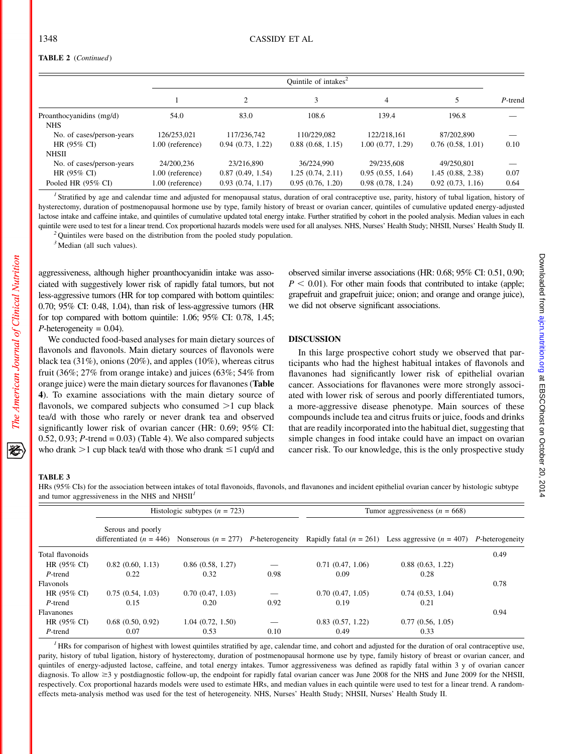# TABLE 2 (Continued)

|                                        |                  | Ouintile of intakes $2$ |                  |                  |                  |         |  |
|----------------------------------------|------------------|-------------------------|------------------|------------------|------------------|---------|--|
|                                        |                  | 2                       | 3                | $\overline{4}$   |                  | P-trend |  |
| Proanthocyanidins (mg/d)<br><b>NHS</b> | 54.0             | 83.0                    | 108.6            | 139.4            | 196.8            |         |  |
| No. of cases/person-years              | 126/253,021      | 117/236.742             | 110/229.082      | 122/218.161      | 87/202.890       |         |  |
| HR $(95\% \text{ CI})$                 | 1.00 (reference) | 0.94(0.73, 1.22)        | 0.88(0.68, 1.15) | 1.00(0.77, 1.29) | 0.76(0.58, 1.01) | 0.10    |  |
| <b>NHSII</b>                           |                  |                         |                  |                  |                  |         |  |
| No. of cases/person-years              | 24/200.236       | 23/216.890              | 36/224.990       | 29/235.608       | 49/250.801       |         |  |
| HR $(95\% \text{ CI})$                 | 1.00 (reference) | 0.87(0.49, 1.54)        | 1.25(0.74, 2.11) | 0.95(0.55, 1.64) | 1.45(0.88, 2.38) | 0.07    |  |
| Pooled HR $(95\% \text{ CI})$          | 1.00 (reference) | 0.93(0.74, 1.17)        | 0.95(0.76, 1.20) | 0.98(0.78, 1.24) | 0.92(0.73, 1.16) | 0.64    |  |

<sup>1</sup> Stratified by age and calendar time and adjusted for menopausal status, duration of oral contraceptive use, parity, history of tubal ligation, history of hysterectomy, duration of postmenopausal hormone use by type, family history of breast or ovarian cancer, quintiles of cumulative updated energy-adjusted lactose intake and caffeine intake, and quintiles of cumulative updated total energy intake. Further stratified by cohort in the pooled analysis. Median values in each quintile were used to test for a linear trend. Cox proportional hazards models were used for all analyses. NHS, Nurses' Health Study; NHSII, Nurses' Health Study II. <sup>2</sup> Quintiles were based on the distribution from the po

 $3$  Median (all such values).

aggressiveness, although higher proanthocyanidin intake was associated with suggestively lower risk of rapidly fatal tumors, but not less-aggressive tumors (HR for top compared with bottom quintiles: 0.70; 95% CI: 0.48, 1.04), than risk of less-aggressive tumors (HR for top compared with bottom quintile: 1.06; 95% CI: 0.78, 1.45;  $P$ -heterogeneity = 0.04).

We conducted food-based analyses for main dietary sources of flavonols and flavonols. Main dietary sources of flavonols were black tea (31%), onions (20%), and apples (10%), whereas citrus fruit (36%; 27% from orange intake) and juices (63%; 54% from orange juice) were the main dietary sources for flavanones (Table 4). To examine associations with the main dietary source of flavonols, we compared subjects who consumed  $>1$  cup black tea/d with those who rarely or never drank tea and observed significantly lower risk of ovarian cancer (HR: 0.69; 95% CI: 0.52, 0.93;  $P$ -trend = 0.03) (Table 4). We also compared subjects who drank  $>1$  cup black tea/d with those who drank  $\leq 1$  cup/d and observed similar inverse associations (HR: 0.68; 95% CI: 0.51, 0.90;  $P < 0.01$ ). For other main foods that contributed to intake (apple; grapefruit and grapefruit juice; onion; and orange and orange juice), we did not observe significant associations.

# DISCUSSION

In this large prospective cohort study we observed that participants who had the highest habitual intakes of flavonols and flavanones had significantly lower risk of epithelial ovarian cancer. Associations for flavanones were more strongly associated with lower risk of serous and poorly differentiated tumors, a more-aggressive disease phenotype. Main sources of these compounds include tea and citrus fruits or juice, foods and drinks that are readily incorporated into the habitual diet, suggesting that simple changes in food intake could have an impact on ovarian cancer risk. To our knowledge, this is the only prospective study

## TABLE 3

The American Journal of Clinical Nutrition

犵

HRs (95% CIs) for the association between intakes of total flavonoids, flavonols, and flavanones and incident epithelial ovarian cancer by histologic subtype and tumor aggressiveness in the NHS and  $NHS$ 

|                        |                   | Histologic subtypes $(n = 723)$ |      | Tumor aggressiveness ( $n = 668$ ) |                                                                                                                                                |      |  |
|------------------------|-------------------|---------------------------------|------|------------------------------------|------------------------------------------------------------------------------------------------------------------------------------------------|------|--|
|                        | Serous and poorly |                                 |      |                                    | differentiated ( $n = 446$ ) Nonserous ( $n = 277$ ) P-heterogeneity Rapidly fatal ( $n = 261$ ) Less aggressive ( $n = 407$ ) P-heterogeneity |      |  |
| Total flavonoids       |                   |                                 |      |                                    |                                                                                                                                                | 0.49 |  |
| HR $(95\% \text{ CI})$ | 0.82(0.60, 1.13)  | 0.86(0.58, 1.27)                |      | 0.71(0.47, 1.06)                   | 0.88(0.63, 1.22)                                                                                                                               |      |  |
| P-trend                | 0.22              | 0.32                            | 0.98 | 0.09                               | 0.28                                                                                                                                           |      |  |
| Flavonols              |                   |                                 |      |                                    |                                                                                                                                                | 0.78 |  |
| HR $(95\% \text{ CI})$ | 0.75(0.54, 1.03)  | 0.70(0.47, 1.03)                |      | 0.70(0.47, 1.05)                   | 0.74(0.53, 1.04)                                                                                                                               |      |  |
| P-trend                | 0.15              | 0.20                            | 0.92 | 0.19                               | 0.21                                                                                                                                           |      |  |
| <b>Flavanones</b>      |                   |                                 |      |                                    |                                                                                                                                                | 0.94 |  |
| HR $(95\% \text{ CI})$ | 0.68(0.50, 0.92)  | 1.04(0.72, 1.50)                |      | 0.83(0.57, 1.22)                   | 0.77(0.56, 1.05)                                                                                                                               |      |  |
| P-trend                | 0.07              | 0.53                            | 0.10 | 0.49                               | 0.33                                                                                                                                           |      |  |

 $<sup>I</sup>$  HRs for comparison of highest with lowest quintiles stratified by age, calendar time, and cohort and adjusted for the duration of oral contraceptive use,</sup> parity, history of tubal ligation, history of hysterectomy, duration of postmenopausal hormone use by type, family history of breast or ovarian cancer, and quintiles of energy-adjusted lactose, caffeine, and total energy intakes. Tumor aggressiveness was defined as rapidly fatal within 3 y of ovarian cancer diagnosis. To allow  $\geq$ 3 y postdiagnostic follow-up, the endpoint for rapidly fatal ovarian cancer was June 2008 for the NHS and June 2009 for the NHSII, respectively. Cox proportional hazards models were used to estimate HRs, and median values in each quintile were used to test for a linear trend. A randomeffects meta-analysis method was used for the test of heterogeneity. NHS, Nurses' Health Study; NHSII, Nurses' Health Study II.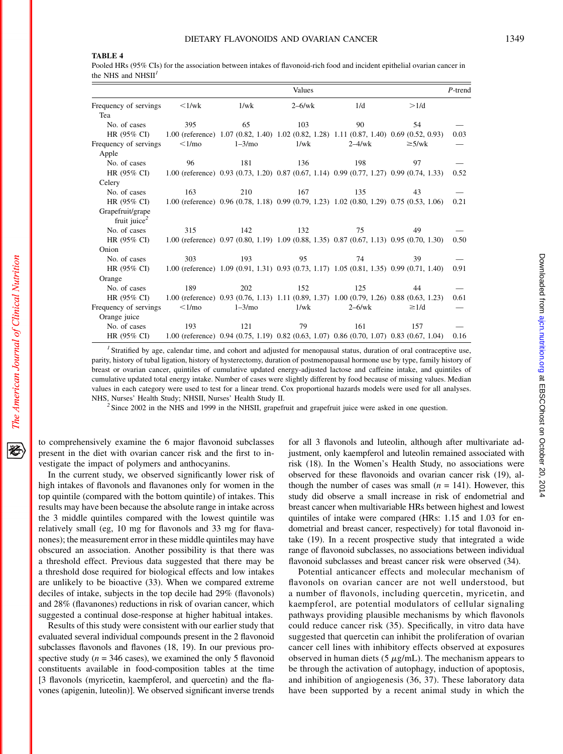# TABLE 4

Pooled HRs (95% CIs) for the association between intakes of flavonoid-rich food and incident epithelial ovarian cancer in the NHS and NHSII<sup>4</sup>

|                          | Values                 |                                                                                            |                                                                                          |           |             |      |
|--------------------------|------------------------|--------------------------------------------------------------------------------------------|------------------------------------------------------------------------------------------|-----------|-------------|------|
| Frequency of servings    | $\langle 1/wk \rangle$ | 1/wk                                                                                       | $2-6$ /wk                                                                                | 1/d       | >1/d        |      |
| Tea                      |                        |                                                                                            |                                                                                          |           |             |      |
| No. of cases             | 395                    | 65                                                                                         | 103                                                                                      | 90        | 54          |      |
| HR (95% CI)              |                        | 1.00 (reference) 1.07 (0.82, 1.40) 1.02 (0.82, 1.28) 1.11 (0.87, 1.40) 0.69 (0.52, 0.93)   |                                                                                          |           |             | 0.03 |
| Frequency of servings    | <1/mo                  | $1-3/mo$                                                                                   | 1/wk                                                                                     | $2-4$ /wk | $\geq$ 5/wk |      |
| Apple                    |                        |                                                                                            |                                                                                          |           |             |      |
| No. of cases             | 96                     | 181                                                                                        | 136                                                                                      | 198       | 97          |      |
| HR (95% CI)              |                        | 1.00 (reference) $0.93$ (0.73, 1.20) 0.87 (0.67, 1.14) 0.99 (0.77, 1.27) 0.99 (0.74, 1.33) |                                                                                          |           |             | 0.52 |
| Celery                   |                        |                                                                                            |                                                                                          |           |             |      |
| No. of cases             | 163                    | 210                                                                                        | 167                                                                                      | 135       | 43          |      |
| HR (95% CI)              |                        | 1.00 (reference) 0.96 (0.78, 1.18) 0.99 (0.79, 1.23) 1.02 (0.80, 1.29) 0.75 (0.53, 1.06)   |                                                                                          |           |             | 0.21 |
| Grapefruit/grape         |                        |                                                                                            |                                                                                          |           |             |      |
| fruit juice <sup>2</sup> |                        |                                                                                            |                                                                                          |           |             |      |
| No. of cases             | 315                    | 142                                                                                        | 132                                                                                      | 75        | 49          |      |
| HR (95% CI)              |                        | 1.00 (reference) 0.97 (0.80, 1.19) 1.09 (0.88, 1.35) 0.87 (0.67, 1.13) 0.95 (0.70, 1.30)   |                                                                                          |           |             | 0.50 |
| Onion                    |                        |                                                                                            |                                                                                          |           |             |      |
| No. of cases             | 303                    | 193                                                                                        | 95                                                                                       | 74        | 39          |      |
| HR (95% CI)              |                        | 1.00 (reference) 1.09 (0.91, 1.31) 0.93 (0.73, 1.17) 1.05 (0.81, 1.35) 0.99 (0.71, 1.40)   |                                                                                          |           |             | 0.91 |
| Orange                   |                        |                                                                                            |                                                                                          |           |             |      |
| No. of cases             | 189                    | 202                                                                                        | 152                                                                                      | 125       | 44          |      |
| HR (95% CI)              |                        | 1.00 (reference) $0.93$ (0.76, 1.13) 1.11 (0.89, 1.37) 1.00 (0.79, 1.26) 0.88 (0.63, 1.23) |                                                                                          |           |             | 0.61 |
| Frequency of servings    | $\leq$ 1/mo            | $1 - 3/mo$                                                                                 | 1/wk                                                                                     | $2-6$ /wk | $\geq 1/d$  |      |
| Orange juice             |                        |                                                                                            |                                                                                          |           |             |      |
| No. of cases             | 193                    | 121                                                                                        | 79                                                                                       | 161       | 157         |      |
| HR (95% CI)              |                        |                                                                                            | 1.00 (reference) 0.94 (0.75, 1.19) 0.82 (0.63, 1.07) 0.86 (0.70, 1.07) 0.83 (0.67, 1.04) |           |             | 0.16 |

<sup>1</sup> Stratified by age, calendar time, and cohort and adjusted for menopausal status, duration of oral contraceptive use, parity, history of tubal ligation, history of hysterectomy, duration of postmenopausal hormone use by type, family history of breast or ovarian cancer, quintiles of cumulative updated energy-adjusted lactose and caffeine intake, and quintiles of cumulative updated total energy intake. Number of cases were slightly different by food because of missing values. Median values in each category were used to test for a linear trend. Cox proportional hazards models were used for all analyses. NHS, Nurses' Health Study; NHSII, Nurses' Health Study II.<br><sup>2</sup> Since 2002 in the NHS and 1999 in the NHSII, grapefruit and grapefruit juice were asked in one question.

to comprehensively examine the 6 major flavonoid subclasses present in the diet with ovarian cancer risk and the first to investigate the impact of polymers and anthocyanins.

In the current study, we observed significantly lower risk of high intakes of flavonols and flavanones only for women in the top quintile (compared with the bottom quintile) of intakes. This results may have been because the absolute range in intake across the 3 middle quintiles compared with the lowest quintile was relatively small (eg, 10 mg for flavonols and 33 mg for flavanones); the measurement error in these middle quintiles may have obscured an association. Another possibility is that there was a threshold effect. Previous data suggested that there may be a threshold dose required for biological effects and low intakes are unlikely to be bioactive (33). When we compared extreme deciles of intake, subjects in the top decile had 29% (flavonols) and 28% (flavanones) reductions in risk of ovarian cancer, which suggested a continual dose-response at higher habitual intakes.

Results of this study were consistent with our earlier study that evaluated several individual compounds present in the 2 flavonoid subclasses flavonols and flavones (18, 19). In our previous prospective study ( $n = 346$  cases), we examined the only 5 flavonoid constituents available in food-composition tables at the time [3 flavonols (myricetin, kaempferol, and quercetin) and the flavones (apigenin, luteolin)]. We observed significant inverse trends

for all 3 flavonols and luteolin, although after multivariate adjustment, only kaempferol and luteolin remained associated with risk (18). In the Women's Health Study, no associations were observed for these flavonoids and ovarian cancer risk (19), although the number of cases was small  $(n = 141)$ . However, this study did observe a small increase in risk of endometrial and breast cancer when multivariable HRs between highest and lowest quintiles of intake were compared (HRs: 1.15 and 1.03 for endometrial and breast cancer, respectively) for total flavonoid intake (19). In a recent prospective study that integrated a wide range of flavonoid subclasses, no associations between individual flavonoid subclasses and breast cancer risk were observed (34).

Potential anticancer effects and molecular mechanism of flavonols on ovarian cancer are not well understood, but a number of flavonols, including quercetin, myricetin, and kaempferol, are potential modulators of cellular signaling pathways providing plausible mechanisms by which flavonols could reduce cancer risk (35). Specifically, in vitro data have suggested that quercetin can inhibit the proliferation of ovarian cancer cell lines with inhibitory effects observed at exposures observed in human diets (5  $\mu$ g/mL). The mechanism appears to be through the activation of autophagy, induction of apoptosis, and inhibition of angiogenesis (36, 37). These laboratory data have been supported by a recent animal study in which the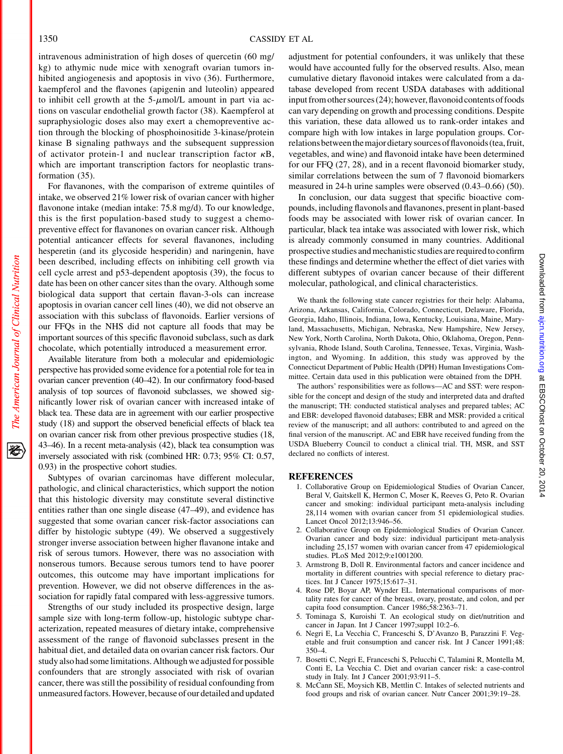intravenous administration of high doses of quercetin (60 mg/ kg) to athymic nude mice with xenograft ovarian tumors inhibited angiogenesis and apoptosis in vivo (36). Furthermore, kaempferol and the flavones (apigenin and luteolin) appeared to inhibit cell growth at the  $5-\mu$ mol/L amount in part via actions on vascular endothelial growth factor (38). Kaempferol at supraphysiologic doses also may exert a chemopreventive action through the blocking of phosphoinositide 3-kinase/protein kinase B signaling pathways and the subsequent suppression of activator protein-1 and nuclear transcription factor  $\kappa$ B, which are important transcription factors for neoplastic transformation (35).

For flavanones, with the comparison of extreme quintiles of intake, we observed 21% lower risk of ovarian cancer with higher flavonone intake (median intake: 75.8 mg/d). To our knowledge, this is the first population-based study to suggest a chemopreventive effect for flavanones on ovarian cancer risk. Although potential anticancer effects for several flavanones, including hesperetin (and its glycoside hesperidin) and naringenin, have been described, including effects on inhibiting cell growth via cell cycle arrest and p53-dependent apoptosis (39), the focus to date has been on other cancer sites than the ovary. Although some biological data support that certain flavan-3-ols can increase apoptosis in ovarian cancer cell lines (40), we did not observe an association with this subclass of flavonoids. Earlier versions of our FFQs in the NHS did not capture all foods that may be important sources of this specific flavonoid subclass, such as dark chocolate, which potentially introduced a measurement error.

Available literature from both a molecular and epidemiologic perspective has provided some evidence for a potential role for tea in ovarian cancer prevention (40–42). In our confirmatory food-based analysis of top sources of flavonoid subclasses, we showed significantly lower risk of ovarian cancer with increased intake of black tea. These data are in agreement with our earlier prospective study (18) and support the observed beneficial effects of black tea on ovarian cancer risk from other previous prospective studies (18, 43–46). In a recent meta-analysis (42), black tea consumption was inversely associated with risk (combined HR: 0.73; 95% CI: 0.57, 0.93) in the prospective cohort studies.

Subtypes of ovarian carcinomas have different molecular, pathologic, and clinical characteristics, which support the notion that this histologic diversity may constitute several distinctive entities rather than one single disease (47–49), and evidence has suggested that some ovarian cancer risk-factor associations can differ by histologic subtype (49). We observed a suggestively stronger inverse association between higher flavanone intake and risk of serous tumors. However, there was no association with nonserous tumors. Because serous tumors tend to have poorer outcomes, this outcome may have important implications for prevention. However, we did not observe differences in the association for rapidly fatal compared with less-aggressive tumors.

Strengths of our study included its prospective design, large sample size with long-term follow-up, histologic subtype characterization, repeated measures of dietary intake, comprehensive assessment of the range of flavonoid subclasses present in the habitual diet, and detailed data on ovarian cancer risk factors. Our study also had somelimitations. Although we adjusted for possible confounders that are strongly associated with risk of ovarian cancer, there was still the possibility of residual confounding from unmeasured factors. However, because of our detailed and updated adjustment for potential confounders, it was unlikely that these would have accounted fully for the observed results. Also, mean cumulative dietary flavonoid intakes were calculated from a database developed from recent USDA databases with additional input from other sources (24); however, flavonoid contents of foods can vary depending on growth and processing conditions. Despite this variation, these data allowed us to rank-order intakes and compare high with low intakes in large population groups. Correlations between the major dietary sources of flavonoids (tea, fruit, vegetables, and wine) and flavonoid intake have been determined for our FFQ (27, 28), and in a recent flavonoid biomarker study, similar correlations between the sum of 7 flavonoid biomarkers measured in 24-h urine samples were observed (0.43–0.66) (50).

In conclusion, our data suggest that specific bioactive compounds, including flavonols and flavanones, present in plant-based foods may be associated with lower risk of ovarian cancer. In particular, black tea intake was associated with lower risk, which is already commonly consumed in many countries. Additional prospective studies and mechanistic studies are requiredto confirm these findings and determine whether the effect of diet varies with different subtypes of ovarian cancer because of their different molecular, pathological, and clinical characteristics.

We thank the following state cancer registries for their help: Alabama, Arizona, Arkansas, California, Colorado, Connecticut, Delaware, Florida, Georgia, Idaho, Illinois, Indiana, Iowa, Kentucky, Louisiana, Maine, Maryland, Massachusetts, Michigan, Nebraska, New Hampshire, New Jersey, New York, North Carolina, North Dakota, Ohio, Oklahoma, Oregon, Pennsylvania, Rhode Island, South Carolina, Tennessee, Texas, Virginia, Washington, and Wyoming. In addition, this study was approved by the Connecticut Department of Public Health (DPH) Human Investigations Committee. Certain data used in this publication were obtained from the DPH.

The authors' responsibilities were as follows—AC and SST: were responsible for the concept and design of the study and interpreted data and drafted the manuscript; TH: conducted statistical analyses and prepared tables; AC and EBR: developed flavonoid databases; EBR and MSR: provided a critical review of the manuscript; and all authors: contributed to and agreed on the final version of the manuscript. AC and EBR have received funding from the USDA Blueberry Council to conduct a clinical trial. TH, MSR, and SST declared no conflicts of interest.

#### REFERENCES

- 1. Collaborative Group on Epidemiological Studies of Ovarian Cancer, Beral V, Gaitskell K, Hermon C, Moser K, Reeves G, Peto R. Ovarian cancer and smoking: individual participant meta-analysis including 28,114 women with ovarian cancer from 51 epidemiological studies. Lancet Oncol 2012;13:946–56.
- 2. Collaborative Group on Epidemiological Studies of Ovarian Cancer. Ovarian cancer and body size: individual participant meta-analysis including 25,157 women with ovarian cancer from 47 epidemiological studies. PLoS Med 2012;9:e1001200.
- 3. Armstrong B, Doll R. Environmental factors and cancer incidence and mortality in different countries with special reference to dietary practices. Int J Cancer 1975;15:617–31.
- 4. Rose DP, Boyar AP, Wynder EL. International comparisons of mortality rates for cancer of the breast, ovary, prostate, and colon, and per capita food consumption. Cancer 1986;58:2363–71.
- 5. Tominaga S, Kuroishi T. An ecological study on diet/nutrition and cancer in Japan. Int J Cancer 1997;suppl 10:2–6.
- 6. Negri E, La Vecchia C, Franceschi S, D'Avanzo B, Parazzini F. Vegetable and fruit consumption and cancer risk. Int J Cancer 1991;48: 350–4.
- 7. Bosetti C, Negri E, Franceschi S, Pelucchi C, Talamini R, Montella M, Conti E, La Vecchia C. Diet and ovarian cancer risk: a case-control study in Italy. Int J Cancer 2001;93:911–5.
- 8. McCann SE, Moysich KB, Mettlin C. Intakes of selected nutrients and food groups and risk of ovarian cancer. Nutr Cancer 2001;39:19–28.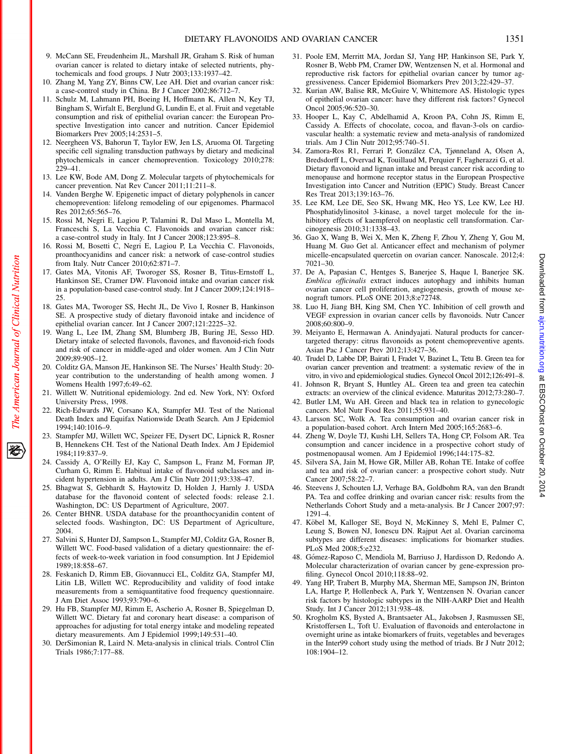- 9. McCann SE, Freudenheim JL, Marshall JR, Graham S. Risk of human ovarian cancer is related to dietary intake of selected nutrients, phytochemicals and food groups. J Nutr 2003;133:1937–42.
- 10. Zhang M, Yang ZY, Binns CW, Lee AH. Diet and ovarian cancer risk: a case-control study in China. Br J Cancer 2002;86:712–7.
- 11. Schulz M, Lahmann PH, Boeing H, Hoffmann K, Allen N, Key TJ, Bingham S, Wirfalt E, Berglund G, Lundin E, et al. Fruit and vegetable consumption and risk of epithelial ovarian cancer: the European Prospective Investigation into cancer and nutrition. Cancer Epidemiol Biomarkers Prev 2005;14:2531–5.
- 12. Neergheen VS, Bahorun T, Taylor EW, Jen LS, Aruoma OI. Targeting specific cell signaling transduction pathways by dietary and medicinal phytochemicals in cancer chemoprevention. Toxicology 2010;278: 229–41.
- 13. Lee KW, Bode AM, Dong Z. Molecular targets of phytochemicals for cancer prevention. Nat Rev Cancer 2011;11:211–8.
- 14. Vanden Berghe W. Epigenetic impact of dietary polyphenols in cancer chemoprevention: lifelong remodeling of our epigenomes. Pharmacol Res 2012;65:565–76.
- 15. Rossi M, Negri E, Lagiou P, Talamini R, Dal Maso L, Montella M, Franceschi S, La Vecchia C. Flavonoids and ovarian cancer risk: a case-control study in Italy. Int J Cancer 2008;123:895–8.
- 16. Rossi M, Bosetti C, Negri E, Lagiou P, La Vecchia C. Flavonoids, proanthocyanidins and cancer risk: a network of case-control studies from Italy. Nutr Cancer 2010;62:871–7.
- 17. Gates MA, Vitonis AF, Tworoger SS, Rosner B, Titus-Ernstoff L, Hankinson SE, Cramer DW. Flavonoid intake and ovarian cancer risk in a population-based case-control study. Int J Cancer 2009;124:1918–  $25$
- 18. Gates MA, Tworoger SS, Hecht JL, De Vivo I, Rosner B, Hankinson SE. A prospective study of dietary flavonoid intake and incidence of epithelial ovarian cancer. Int J Cancer 2007;121:2225–32.
- 19. Wang L, Lee IM, Zhang SM, Blumberg JB, Buring JE, Sesso HD. Dietary intake of selected flavonols, flavones, and flavonoid-rich foods and risk of cancer in middle-aged and older women. Am J Clin Nutr 2009;89:905–12.
- 20. Colditz GA, Manson JE, Hankinson SE. The Nurses' Health Study: 20 year contribution to the understanding of health among women. J Womens Health 1997;6:49–62.
- 21. Willett W. Nutritional epidemiology. 2nd ed. New York, NY: Oxford University Press, 1998.
- 22. Rich-Edwards JW, Corsano KA, Stampfer MJ. Test of the National Death Index and Equifax Nationwide Death Search. Am J Epidemiol 1994;140:1016–9.
- 23. Stampfer MJ, Willett WC, Speizer FE, Dysert DC, Lipnick R, Rosner B, Hennekens CH. Test of the National Death Index. Am J Epidemiol 1984;119:837–9.
- 24. Cassidy A, O'Reilly EJ, Kay C, Sampson L, Franz M, Forman JP, Curham G, Rimm E. Habitual intake of flavonoid subclasses and incident hypertension in adults. Am J Clin Nutr 2011;93:338–47.
- 25. Bhagwat S, Gebhardt S, Haytowitz D, Holden J, Harnly J. USDA database for the flavonoid content of selected foods: release 2.1. Washington, DC: US Department of Agriculture, 2007.
- 26. Center BHNR. USDA database for the proanthocyanidin content of selected foods. Washington, DC: US Department of Agriculture, 2004.
- 27. Salvini S, Hunter DJ, Sampson L, Stampfer MJ, Colditz GA, Rosner B, Willett WC. Food-based validation of a dietary questionnaire: the effects of week-to-week variation in food consumption. Int J Epidemiol 1989;18:858–67.
- 28. Feskanich D, Rimm EB, Giovannucci EL, Colditz GA, Stampfer MJ, Litin LB, Willett WC. Reproducibility and validity of food intake measurements from a semiquantitative food frequency questionnaire. J Am Diet Assoc 1993;93:790–6.
- 29. Hu FB, Stampfer MJ, Rimm E, Ascherio A, Rosner B, Spiegelman D, Willett WC. Dietary fat and coronary heart disease: a comparison of approaches for adjusting for total energy intake and modeling repeated dietary measurements. Am J Epidemiol 1999;149:531–40.
- 30. DerSimonian R, Laird N. Meta-analysis in clinical trials. Control Clin Trials 1986;7:177–88.
- 31. Poole EM, Merritt MA, Jordan SJ, Yang HP, Hankinson SE, Park Y, Rosner B, Webb PM, Cramer DW, Wentzensen N, et al. Hormonal and reproductive risk factors for epithelial ovarian cancer by tumor aggressiveness. Cancer Epidemiol Biomarkers Prev 2013;22:429–37.
- 32. Kurian AW, Balise RR, McGuire V, Whittemore AS. Histologic types of epithelial ovarian cancer: have they different risk factors? Gynecol Oncol 2005;96:520–30.
- 33. Hooper L, Kay C, Abdelhamid A, Kroon PA, Cohn JS, Rimm E, Cassidy A. Effects of chocolate, cocoa, and flavan-3-ols on cardiovascular health: a systematic review and meta-analysis of randomized trials. Am J Clin Nutr 2012;95:740–51.
- 34. Zamora-Ros R1, Ferrari P, González CA, Tjønneland A, Olsen A, Bredsdorff L, Overvad K, Touillaud M, Perquier F, Fagherazzi G, et al. Dietary flavonoid and lignan intake and breast cancer risk according to menopause and hormone receptor status in the European Prospective Investigation into Cancer and Nutrition (EPIC) Study. Breast Cancer Res Treat 2013;139:163–76.
- 35. Lee KM, Lee DE, Seo SK, Hwang MK, Heo YS, Lee KW, Lee HJ. Phosphatidylinositol 3-kinase, a novel target molecule for the inhibitory effects of kaempferol on neoplastic cell transformation. Carcinogenesis 2010;31:1338–43.
- 36. Gao X, Wang B, Wei X, Men K, Zheng F, Zhou Y, Zheng Y, Gou M, Huang M. Guo Get al. Anticancer effect and mechanism of polymer micelle-encapsulated quercetin on ovarian cancer. Nanoscale. 2012;4: 7021–30.
- 37. De A, Papasian C, Hentges S, Banerjee S, Haque I, Banerjee SK. Emblica officinalis extract induces autophagy and inhibits human ovarian cancer cell proliferation, angiogenesis, growth of mouse xenograft tumors. PLoS ONE 2013;8:e72748.
- 38. Luo H, Jiang BH, King SM, Chen YC. Inhibition of cell growth and VEGF expression in ovarian cancer cells by flavonoids. Nutr Cancer 2008;60:800–9.
- 39. Meiyanto E, Hermawan A. Anindyajati. Natural products for cancertargeted therapy: citrus flavonoids as potent chemopreventive agents. Asian Pac J Cancer Prev 2012;13:427–36.
- 40. Trudel D, Labbe DP, Bairati I, Fradet V, Bazinet L, Tetu B. Green tea for ovarian cancer prevention and treatment: a systematic review of the in vitro, in vivo and epidemiological studies. Gynecol Oncol 2012;126:491–8.
- 41. Johnson R, Bryant S, Huntley AL. Green tea and green tea catechin extracts: an overview of the clinical evidence. Maturitas 2012;73:280–7.
- 42. Butler LM, Wu AH. Green and black tea in relation to gynecologic cancers. Mol Nutr Food Res 2011;55:931–40.
- 43. Larsson SC, Wolk A. Tea consumption and ovarian cancer risk in a population-based cohort. Arch Intern Med 2005;165:2683–6.
- 44. Zheng W, Doyle TJ, Kushi LH, Sellers TA, Hong CP, Folsom AR. Tea consumption and cancer incidence in a prospective cohort study of postmenopausal women. Am J Epidemiol 1996;144:175–82.
- 45. Silvera SA, Jain M, Howe GR, Miller AB, Rohan TE. Intake of coffee and tea and risk of ovarian cancer: a prospective cohort study. Nutr Cancer 2007;58:22–7.
- 46. Steevens J, Schouten LJ, Verhage BA, Goldbohm RA, van den Brandt PA. Tea and coffee drinking and ovarian cancer risk: results from the Netherlands Cohort Study and a meta-analysis. Br J Cancer 2007;97: 1291–4.
- 47. Köbel M, Kalloger SE, Boyd N, McKinney S, Mehl E, Palmer C, Leung S, Bowen NJ, Ionescu DN. Rajput Aet al. Ovarian carcinoma subtypes are different diseases: implications for biomarker studies. PLoS Med 2008;5:e232.
- 48. Gómez-Raposo C, Mendiola M, Barriuso J, Hardisson D, Redondo A. Molecular characterization of ovarian cancer by gene-expression profiling. Gynecol Oncol 2010;118:88–92.
- 49. Yang HP, Trabert B, Murphy MA, Sherman ME, Sampson JN, Brinton LA, Hartge P, Hollenbeck A, Park Y, Wentzensen N. Ovarian cancer risk factors by histologic subtypes in the NIH-AARP Diet and Health Study. Int J Cancer 2012;131:938–48.
- 50. Krogholm KS, Bysted A, Brantsaeter AL, Jakobsen J, Rasmussen SE, Kristoffersen L, Toft U. Evaluation of flavonoids and enterolactone in overnight urine as intake biomarkers of fruits, vegetables and beverages in the Inter99 cohort study using the method of triads. Br J Nutr 2012; 108:1904–12.